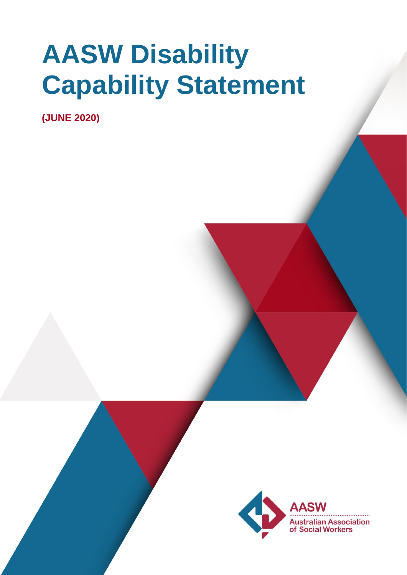# **AASW Disability Capability Statement**

**(JUNE 2020)**

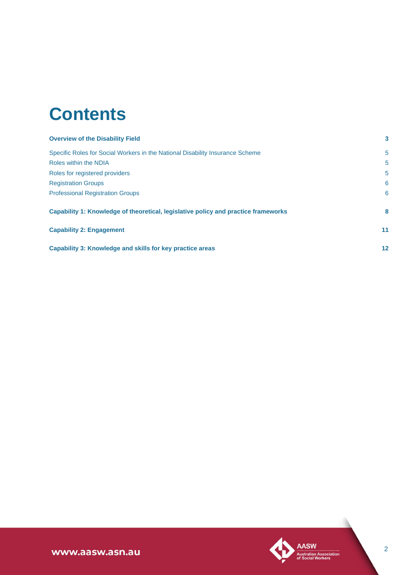# **Contents**

| <b>Overview of the Disability Field</b>                                            | 3       |
|------------------------------------------------------------------------------------|---------|
| Specific Roles for Social Workers in the National Disability Insurance Scheme      | 5       |
| Roles within the NDIA                                                              | 5       |
| Roles for registered providers                                                     | 5       |
| <b>Registration Groups</b>                                                         | 6       |
| <b>Professional Registration Groups</b>                                            | 6       |
| Capability 1: Knowledge of theoretical, legislative policy and practice frameworks | 8       |
| <b>Capability 2: Engagement</b>                                                    | 11      |
| Capability 3: Knowledge and skills for key practice areas                          | $12 \,$ |

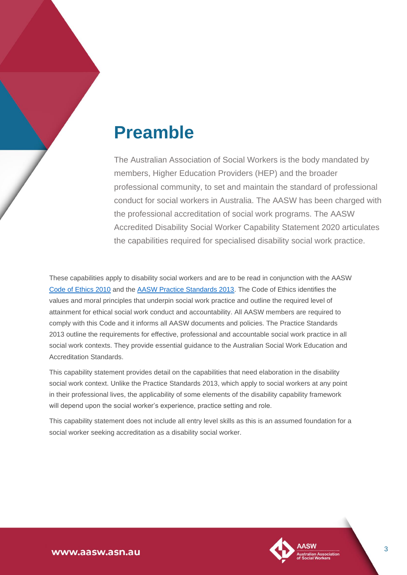# **Preamble**

The Australian Association of Social Workers is the body mandated by members, Higher Education Providers (HEP) and the broader professional community, to set and maintain the standard of professional conduct for social workers in Australia. The AASW has been charged with the professional accreditation of social work programs. The AASW Accredited Disability Social Worker Capability Statement 2020 articulates the capabilities required for specialised disability social work practice.

These capabilities apply to disability social workers and are to be read in conjunction with the AASW [Code of Ethics 2010](https://www.aasw.asn.au/practitioner-resources/code-of-ethics) and the [AASW Practice Standards 2013.](https://www.aasw.asn.au/document/item/4551) The Code of Ethics identifies the values and moral principles that underpin social work practice and outline the required level of attainment for ethical social work conduct and accountability. All AASW members are required to comply with this Code and it informs all AASW documents and policies. The Practice Standards 2013 outline the requirements for effective, professional and accountable social work practice in all social work contexts. They provide essential guidance to the Australian Social Work Education and Accreditation Standards.

This capability statement provides detail on the capabilities that need elaboration in the disability social work context. Unlike the Practice Standards 2013, which apply to social workers at any point in their professional lives, the applicability of some elements of the disability capability framework will depend upon the social worker's experience, practice setting and role.

<span id="page-2-0"></span>This capability statement does not include all entry level skills as this is an assumed foundation for a social worker seeking accreditation as a disability social worker.

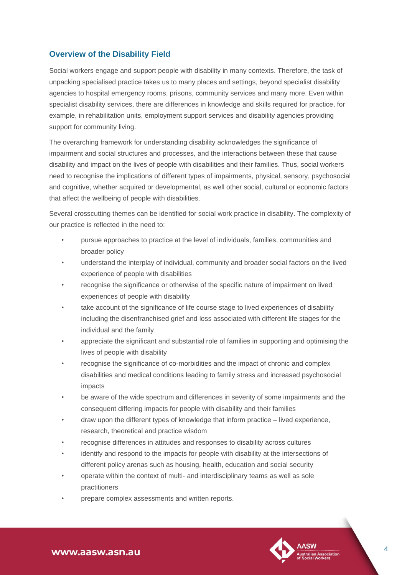### **Overview of the Disability Field**

Social workers engage and support people with disability in many contexts. Therefore, the task of unpacking specialised practice takes us to many places and settings, beyond specialist disability agencies to hospital emergency rooms, prisons, community services and many more. Even within specialist disability services, there are differences in knowledge and skills required for practice, for example, in rehabilitation units, employment support services and disability agencies providing support for community living.

The overarching framework for understanding disability acknowledges the significance of impairment and social structures and processes, and the interactions between these that cause disability and impact on the lives of people with disabilities and their families. Thus, social workers need to recognise the implications of different types of impairments, physical, sensory, psychosocial and cognitive, whether acquired or developmental, as well other social, cultural or economic factors that affect the wellbeing of people with disabilities.

Several crosscutting themes can be identified for social work practice in disability. The complexity of our practice is reflected in the need to:

- pursue approaches to practice at the level of individuals, families, communities and broader policy
- understand the interplay of individual, community and broader social factors on the lived experience of people with disabilities
- recognise the significance or otherwise of the specific nature of impairment on lived experiences of people with disability
- take account of the significance of life course stage to lived experiences of disability including the disenfranchised grief and loss associated with different life stages for the individual and the family
- appreciate the significant and substantial role of families in supporting and optimising the lives of people with disability
- recognise the significance of co-morbidities and the impact of chronic and complex disabilities and medical conditions leading to family stress and increased psychosocial impacts
- be aware of the wide spectrum and differences in severity of some impairments and the consequent differing impacts for people with disability and their families
- draw upon the different types of knowledge that inform practice lived experience, research, theoretical and practice wisdom
- recognise differences in attitudes and responses to disability across cultures
- identify and respond to the impacts for people with disability at the intersections of different policy arenas such as housing, health, education and social security
- operate within the context of multi- and interdisciplinary teams as well as sole practitioners
- prepare complex assessments and written reports.

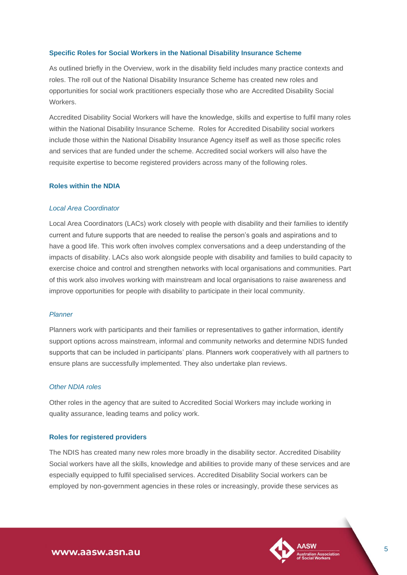#### <span id="page-4-0"></span>**Specific Roles for Social Workers in the National Disability Insurance Scheme**

As outlined briefly in the Overview, work in the disability field includes many practice contexts and roles. The roll out of the National Disability Insurance Scheme has created new roles and opportunities for social work practitioners especially those who are Accredited Disability Social Workers.

Accredited Disability Social Workers will have the knowledge, skills and expertise to fulfil many roles within the National Disability Insurance Scheme. Roles for Accredited Disability social workers include those within the National Disability Insurance Agency itself as well as those specific roles and services that are funded under the scheme. Accredited social workers will also have the requisite expertise to become registered providers across many of the following roles.

#### <span id="page-4-1"></span>**Roles within the NDIA**

#### *Local Area Coordinator*

Local Area Coordinators (LACs) work closely with people with disability and their families to identify current and future supports that are needed to realise the person's goals and aspirations and to have a good life. This work often involves complex conversations and a deep understanding of the impacts of disability. LACs also work alongside people with disability and families to build capacity to exercise choice and control and strengthen networks with local organisations and communities. Part of this work also involves working with mainstream and local organisations to raise awareness and improve opportunities for people with disability to participate in their local community.

#### *Planner*

Planners work with participants and their families or representatives to gather information, identify support options across mainstream, informal and community networks and determine NDIS funded supports that can be included in participants' plans. Planners work cooperatively with all partners to ensure plans are successfully implemented. They also undertake plan reviews.

#### *Other NDIA roles*

Other roles in the agency that are suited to Accredited Social Workers may include working in quality assurance, leading teams and policy work.

#### <span id="page-4-2"></span>**Roles for registered providers**

The NDIS has created many new roles more broadly in the disability sector. Accredited Disability Social workers have all the skills, knowledge and abilities to provide many of these services and are especially equipped to fulfil specialised services. Accredited Disability Social workers can be employed by non-government agencies in these roles or increasingly, provide these services as

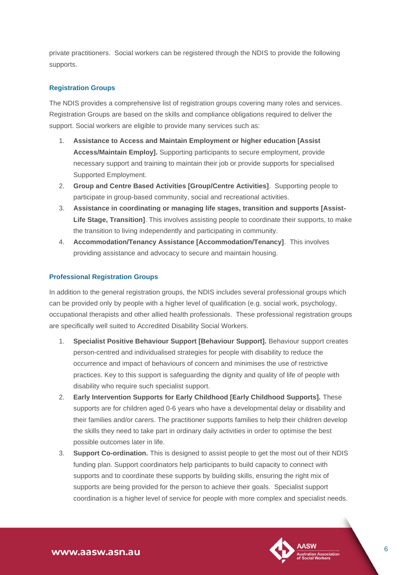private practitioners. Social workers can be registered through the NDIS to provide the following supports.

#### <span id="page-5-0"></span>**Registration Groups**

The NDIS provides a comprehensive list of registration groups covering many roles and services. Registration Groups are based on the skills and compliance obligations required to deliver the support. Social workers are eligible to provide many services such as:

- 1. **Assistance to Access and Maintain Employment or higher education [Assist Access/Maintain Employ].** Supporting participants to secure employment, provide necessary support and training to maintain their job or provide supports for specialised Supported Employment.
- 2. **Group and Centre Based Activities [Group/Centre Activities]**. Supporting people to participate in group-based community, social and recreational activities.
- 3. **Assistance in coordinating or managing life stages, transition and supports [Assist-Life Stage, Transition]**. This involves assisting people to coordinate their supports, to make the transition to living independently and participating in community.
- 4. **Accommodation/Tenancy Assistance [Accommodation/Tenancy]**. This involves providing assistance and advocacy to secure and maintain housing.

#### <span id="page-5-1"></span>**Professional Registration Groups**

In addition to the general registration groups, the NDIS includes several professional groups which can be provided only by people with a higher level of qualification (e.g. social work, psychology, occupational therapists and other allied health professionals. These professional registration groups are specifically well suited to Accredited Disability Social Workers.

- 1. **Specialist Positive Behaviour Support [Behaviour Support].** Behaviour support creates person-centred and individualised strategies for people with disability to reduce the occurrence and impact of behaviours of concern and minimises the use of restrictive practices. Key to this support is safeguarding the dignity and quality of life of people with disability who require such specialist support.
- 2. **Early Intervention Supports for Early Childhood [Early Childhood Supports].** These supports are for children aged 0-6 years who have a developmental delay or disability and their families and/or carers. The practitioner supports families to help their children develop the skills they need to take part in ordinary daily activities in order to optimise the best possible outcomes later in life.
- 3. **Support Co-ordination.** This is designed to assist people to get the most out of their NDIS funding plan. Support coordinators help participants to build capacity to connect with supports and to coordinate these supports by building skills, ensuring the right mix of supports are being provided for the person to achieve their goals. Specialist support coordination is a higher level of service for people with more complex and specialist needs.

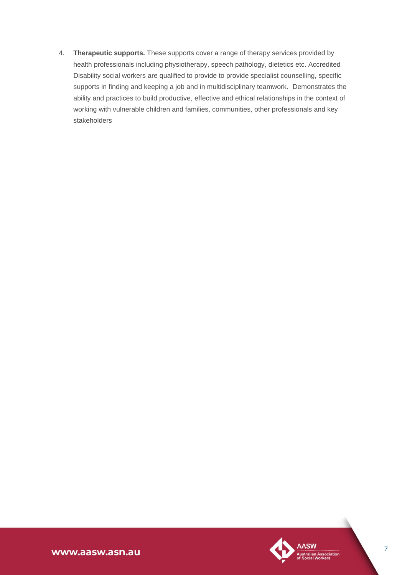4. **Therapeutic supports.** These supports cover a range of therapy services provided by health professionals including physiotherapy, speech pathology, dietetics etc. Accredited Disability social workers are qualified to provide to provide specialist counselling, specific supports in finding and keeping a job and in multidisciplinary teamwork. Demonstrates the ability and practices to build productive, effective and ethical relationships in the context of working with vulnerable children and families, communities, other professionals and key stakeholders

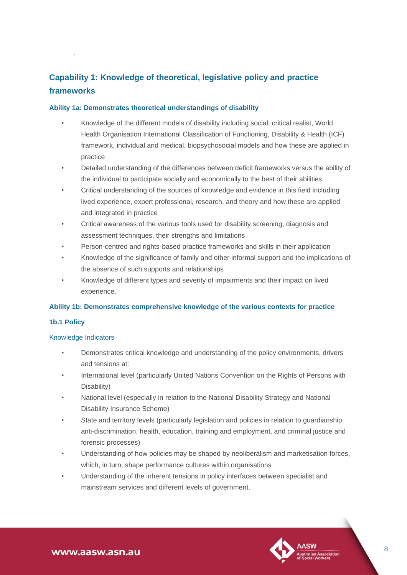# <span id="page-7-0"></span>**Capability 1: Knowledge of theoretical, legislative policy and practice frameworks**

#### **Ability 1a: Demonstrates theoretical understandings of disability**

- Knowledge of the different models of disability including social, critical realist, World Health Organisation International Classification of Functioning, Disability & Health (ICF) framework, individual and medical, biopsychosocial models and how these are applied in practice
- Detailed understanding of the differences between deficit frameworks versus the ability of the individual to participate socially and economically to the best of their abilities
- Critical understanding of the sources of knowledge and evidence in this field including lived experience, expert professional, research, and theory and how these are applied and integrated in practice
- Critical awareness of the various tools used for disability screening, diagnosis and assessment techniques, their strengths and limitations
- Person-centred and rights-based practice frameworks and skills in their application
- Knowledge of the significance of family and other informal support and the implications of the absence of such supports and relationships
- Knowledge of different types and severity of impairments and their impact on lived experience.

#### **Ability 1b: Demonstrates comprehensive knowledge of the various contexts for practice**

#### **1b.1 Policy**

.

#### Knowledge Indicators

- Demonstrates critical knowledge and understanding of the policy environments, drivers and tensions at:
- International level (particularly United Nations Convention on the Rights of Persons with Disability)
- National level (especially in relation to the National Disability Strategy and National Disability Insurance Scheme)
- State and territory levels (particularly legislation and policies in relation to guardianship, anti-discrimination, health, education, training and employment, and criminal justice and forensic processes)
- Understanding of how policies may be shaped by neoliberalism and marketisation forces, which, in turn, shape performance cultures within organisations
- Understanding of the inherent tensions in policy interfaces between specialist and mainstream services and different levels of government.

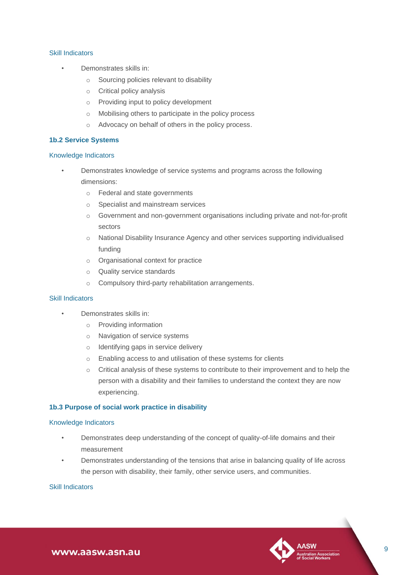#### Skill Indicators

- Demonstrates skills in:
	- o Sourcing policies relevant to disability
	- o Critical policy analysis
	- o Providing input to policy development
	- o Mobilising others to participate in the policy process
	- o Advocacy on behalf of others in the policy process.

#### **1b.2 Service Systems**

#### Knowledge Indicators

- Demonstrates knowledge of service systems and programs across the following dimensions:
	- o Federal and state governments
	- o Specialist and mainstream services
	- o Government and non-government organisations including private and not-for-profit sectors
	- o National Disability Insurance Agency and other services supporting individualised funding
	- o Organisational context for practice
	- o Quality service standards
	- o Compulsory third-party rehabilitation arrangements.

#### Skill Indicators

- Demonstrates skills in:
	- o Providing information
	- o Navigation of service systems
	- o Identifying gaps in service delivery
	- o Enabling access to and utilisation of these systems for clients
	- o Critical analysis of these systems to contribute to their improvement and to help the person with a disability and their families to understand the context they are now experiencing.

#### **1b.3 Purpose of social work practice in disability**

#### Knowledge Indicators

- Demonstrates deep understanding of the concept of quality-of-life domains and their measurement
- Demonstrates understanding of the tensions that arise in balancing quality of life across the person with disability, their family, other service users, and communities.

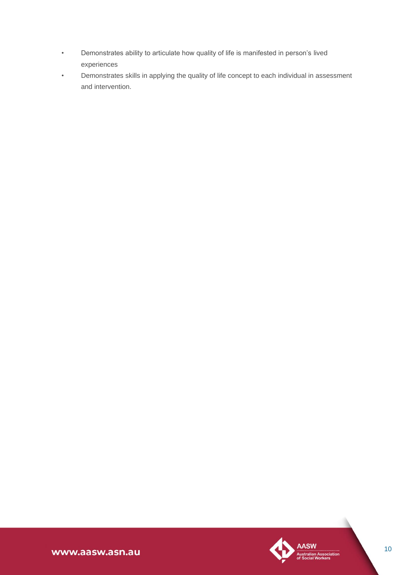- Demonstrates ability to articulate how quality of life is manifested in person's lived experiences
- Demonstrates skills in applying the quality of life concept to each individual in assessment and intervention.

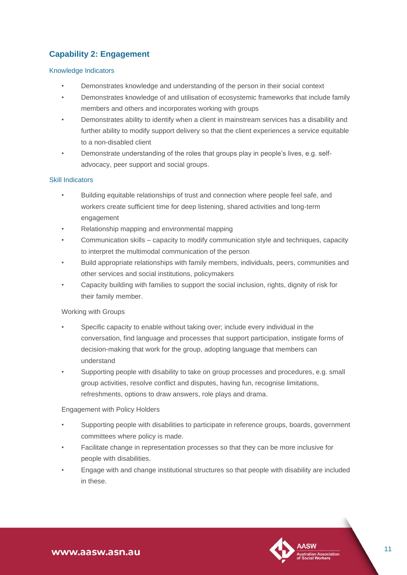## <span id="page-10-0"></span>**Capability 2: Engagement**

#### Knowledge Indicators

- Demonstrates knowledge and understanding of the person in their social context
- Demonstrates knowledge of and utilisation of ecosystemic frameworks that include family members and others and incorporates working with groups
- Demonstrates ability to identify when a client in mainstream services has a disability and further ability to modify support delivery so that the client experiences a service equitable to a non-disabled client
- Demonstrate understanding of the roles that groups play in people's lives, e.g. selfadvocacy, peer support and social groups.

#### Skill Indicators

- Building equitable relationships of trust and connection where people feel safe, and workers create sufficient time for deep listening, shared activities and long-term engagement
- Relationship mapping and environmental mapping
- Communication skills capacity to modify communication style and techniques, capacity to interpret the multimodal communication of the person
- Build appropriate relationships with family members, individuals, peers, communities and other services and social institutions, policymakers
- Capacity building with families to support the social inclusion, rights, dignity of risk for their family member.

#### Working with Groups

- Specific capacity to enable without taking over; include every individual in the conversation, find language and processes that support participation, instigate forms of decision-making that work for the group, adopting language that members can understand
- Supporting people with disability to take on group processes and procedures, e.g. small group activities, resolve conflict and disputes, having fun, recognise limitations, refreshments, options to draw answers, role plays and drama.

#### Engagement with Policy Holders

- Supporting people with disabilities to participate in reference groups, boards, government committees where policy is made.
- Facilitate change in representation processes so that they can be more inclusive for people with disabilities.
- Engage with and change institutional structures so that people with disability are included in these.

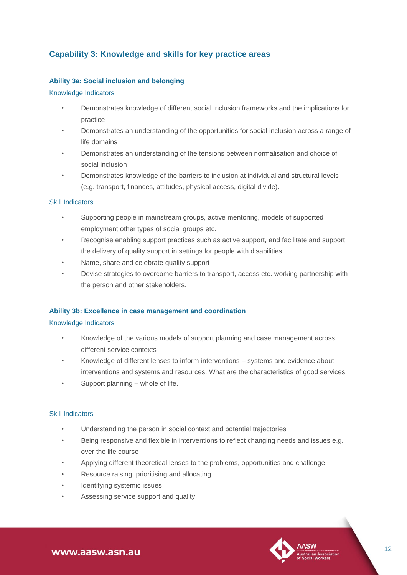### <span id="page-11-0"></span>**Capability 3: Knowledge and skills for key practice areas**

#### **Ability 3a: Social inclusion and belonging**

#### Knowledge Indicators

- Demonstrates knowledge of different social inclusion frameworks and the implications for practice
- Demonstrates an understanding of the opportunities for social inclusion across a range of life domains
- Demonstrates an understanding of the tensions between normalisation and choice of social inclusion
- Demonstrates knowledge of the barriers to inclusion at individual and structural levels (e.g. transport, finances, attitudes, physical access, digital divide).

#### Skill Indicators

- Supporting people in mainstream groups, active mentoring, models of supported employment other types of social groups etc.
- Recognise enabling support practices such as active support, and facilitate and support the delivery of quality support in settings for people with disabilities
- Name, share and celebrate quality support
- Devise strategies to overcome barriers to transport, access etc. working partnership with the person and other stakeholders.

#### **Ability 3b: Excellence in case management and coordination**

#### Knowledge Indicators

- Knowledge of the various models of support planning and case management across different service contexts
- Knowledge of different lenses to inform interventions systems and evidence about interventions and systems and resources. What are the characteristics of good services
- Support planning whole of life.

- Understanding the person in social context and potential trajectories
- Being responsive and flexible in interventions to reflect changing needs and issues e.g. over the life course
- Applying different theoretical lenses to the problems, opportunities and challenge
- Resource raising, prioritising and allocating
- Identifying systemic issues
- Assessing service support and quality

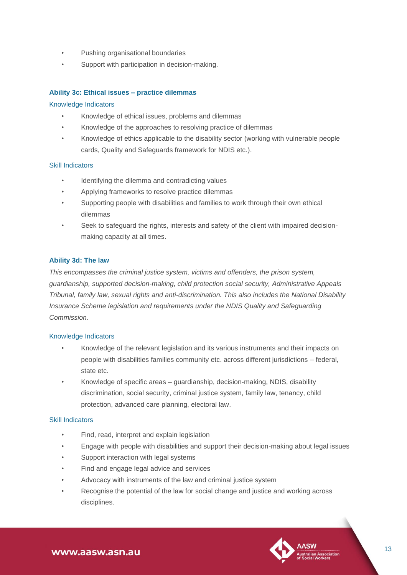- Pushing organisational boundaries
- Support with participation in decision-making.

#### **Ability 3c: Ethical issues – practice dilemmas**

#### Knowledge Indicators

- Knowledge of ethical issues, problems and dilemmas
- Knowledge of the approaches to resolving practice of dilemmas
- Knowledge of ethics applicable to the disability sector (working with vulnerable people cards, Quality and Safeguards framework for NDIS etc.).

#### Skill Indicators

- Identifying the dilemma and contradicting values
- Applying frameworks to resolve practice dilemmas
- Supporting people with disabilities and families to work through their own ethical dilemmas
- Seek to safeguard the rights, interests and safety of the client with impaired decisionmaking capacity at all times.

#### **Ability 3d: The law**

*This encompasses the criminal justice system, victims and offenders, the prison system, guardianship, supported decision-making, child protection social security, Administrative Appeals Tribunal, family law, sexual rights and anti-discrimination. This also includes the National Disability Insurance Scheme legislation and requirements under the NDIS Quality and Safeguarding Commission.*

#### Knowledge Indicators

- Knowledge of the relevant legislation and its various instruments and their impacts on people with disabilities families community etc. across different jurisdictions – federal, state etc.
- Knowledge of specific areas guardianship, decision-making, NDIS, disability discrimination, social security, criminal justice system, family law, tenancy, child protection, advanced care planning, electoral law.

- Find, read, interpret and explain legislation
- Engage with people with disabilities and support their decision-making about legal issues
- Support interaction with legal systems
- Find and engage legal advice and services
- Advocacy with instruments of the law and criminal justice system
- Recognise the potential of the law for social change and justice and working across disciplines.

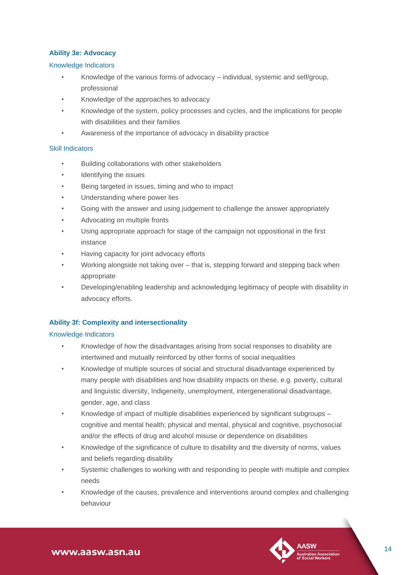#### **Ability 3e: Advocacy**

#### Knowledge Indicators

- Knowledge of the various forms of advocacy individual, systemic and self/group, professional
- Knowledge of the approaches to advocacy
- Knowledge of the system, policy processes and cycles, and the implications for people with disabilities and their families
- Awareness of the importance of advocacy in disability practice

#### Skill Indicators

- Building collaborations with other stakeholders
- Identifying the issues
- Being targeted in issues, timing and who to impact
- Understanding where power lies
- Going with the answer and using judgement to challenge the answer appropriately
- Advocating on multiple fronts
- Using appropriate approach for stage of the campaign not oppositional in the first instance
- Having capacity for joint advocacy efforts
- Working alongside not taking over that is, stepping forward and stepping back when appropriate
- Developing/enabling leadership and acknowledging legitimacy of people with disability in advocacy efforts.

#### **Ability 3f: Complexity and intersectionality**

#### Knowledge Indicators

- Knowledge of how the disadvantages arising from social responses to disability are intertwined and mutually reinforced by other forms of social inequalities
- Knowledge of multiple sources of social and structural disadvantage experienced by many people with disabilities and how disability impacts on these, e.g. poverty, cultural and linguistic diversity, Indigeneity, unemployment, intergenerational disadvantage, gender, age, and class
- Knowledge of impact of multiple disabilities experienced by significant subgroups cognitive and mental health; physical and mental, physical and cognitive, psychosocial and/or the effects of drug and alcohol misuse or dependence on disabilities
- Knowledge of the significance of culture to disability and the diversity of norms, values and beliefs regarding disability
- Systemic challenges to working with and responding to people with multiple and complex needs
- Knowledge of the causes, prevalence and interventions around complex and challenging behaviour

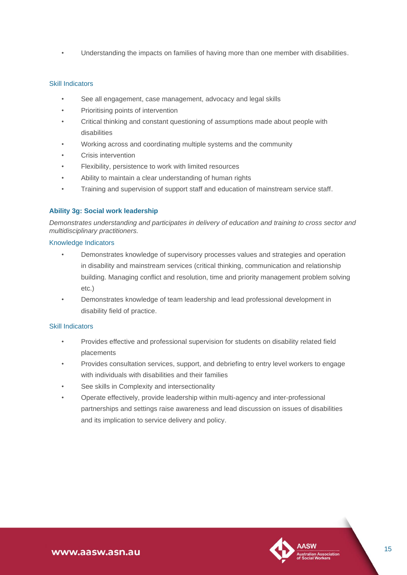• Understanding the impacts on families of having more than one member with disabilities.

#### Skill Indicators

- See all engagement, case management, advocacy and legal skills
- Prioritising points of intervention
- Critical thinking and constant questioning of assumptions made about people with disabilities
- Working across and coordinating multiple systems and the community
- Crisis intervention
- Flexibility, persistence to work with limited resources
- Ability to maintain a clear understanding of human rights
- Training and supervision of support staff and education of mainstream service staff.

#### **Ability 3g: Social work leadership**

*Demonstrates understanding and participates in delivery of education and training to cross sector and multidisciplinary practitioners.*

#### Knowledge Indicators

- Demonstrates knowledge of supervisory processes values and strategies and operation in disability and mainstream services (critical thinking, communication and relationship building. Managing conflict and resolution, time and priority management problem solving etc.)
- Demonstrates knowledge of team leadership and lead professional development in disability field of practice.

- Provides effective and professional supervision for students on disability related field placements
- Provides consultation services, support, and debriefing to entry level workers to engage with individuals with disabilities and their families
- See skills in Complexity and intersectionality
- Operate effectively, provide leadership within multi-agency and inter-professional partnerships and settings raise awareness and lead discussion on issues of disabilities and its implication to service delivery and policy.